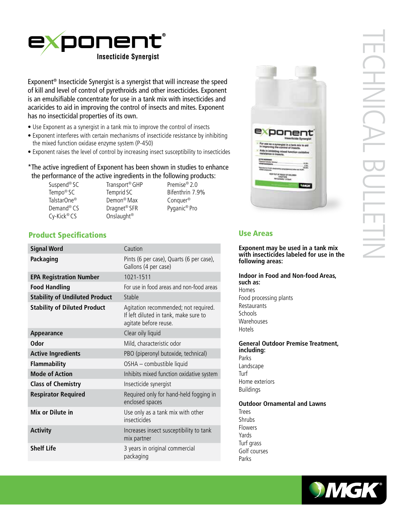

Exponent® Insecticide Synergist is a synergist that will increase the speed of kill and level of control of pyrethroids and other insecticides. Exponent is an emulsifiable concentrate for use in a tank mix with insecticides and acaricides to aid in improving the control of insects and mites. Exponent has no insecticidal properties of its own.

- Use Exponent as a synergist in a tank mix to improve the control of insects
- Exponent interferes with certain mechanisms of insecticide resistance by inhibiting the mixed function oxidase enzyme system (P-450)
- Exponent raises the level of control by increasing insect susceptibility to insecticides

# \*The active ingredient of Exponent has been shown in studies to enhance the performance of the active ingredients in the following products:

- Suspend® SC Transport® GHP Premise® 2.0 Demand® CS Dragnet® SFR Pyganic® Pro Cy-Kick® CS Onslaught®
- Demon<sup>®</sup> Max
- Tempo® SC Temprid SC Bifenthrin 7.9%<br>TalstarOne® Demon® Max Conquer®



# TECHNICAL BULLETIN **CHNICAL SULLET**

# Use Areas

Hotels

**Exponent may be used in a tank mix with insecticides labeled for use in the following areas:** 

**Indoor in Food and Non-food Areas, such as:** Homes Food processing plants Restaurants Schools Warehouses

**General Outdoor Premise Treatment, including:** Parks Landscape Turf Home exteriors Buildings

**Outdoor Ornamental and Lawns** Trees Shrubs Flowers Yards Turf grass Golf courses Parks



# Product Specifications

| <b>Signal Word</b>                    | Caution                                                                                                |
|---------------------------------------|--------------------------------------------------------------------------------------------------------|
| Packaging                             | Pints (6 per case), Quarts (6 per case),<br>Gallons (4 per case)                                       |
| <b>EPA Registration Number</b>        | 1021-1511                                                                                              |
| <b>Food Handling</b>                  | For use in food areas and non-food areas                                                               |
| <b>Stability of Undiluted Product</b> | Stable                                                                                                 |
| <b>Stability of Diluted Product</b>   | Agitation recommended; not required.<br>If left diluted in tank, make sure to<br>agitate before reuse. |
| Appearance                            | Clear oily liquid                                                                                      |
| <b>Odor</b>                           | Mild, characteristic odor                                                                              |
| <b>Active Ingredients</b>             | PBO (piperonyl butoxide, technical)                                                                    |
| <b>Flammability</b>                   | OSHA - combustible liquid                                                                              |
| <b>Mode of Action</b>                 | Inhibits mixed function oxidative system                                                               |
| <b>Class of Chemistry</b>             | Insecticide synergist                                                                                  |
| <b>Respirator Required</b>            | Required only for hand-held fogging in<br>enclosed spaces                                              |
| Mix or Dilute in                      | Use only as a tank mix with other<br>insecticides                                                      |
| <b>Activity</b>                       | Increases insect susceptibility to tank<br>mix partner                                                 |
| <b>Shelf Life</b>                     | 3 years in original commercial<br>packaging                                                            |